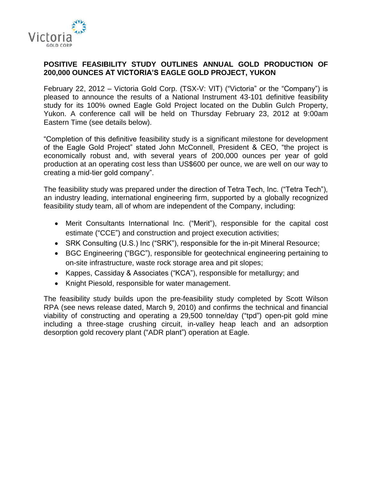

### **POSITIVE FEASIBILITY STUDY OUTLINES ANNUAL GOLD PRODUCTION OF 200,000 OUNCES AT VICTORIA'S EAGLE GOLD PROJECT, YUKON**

February 22, 2012 – Victoria Gold Corp. (TSX-V: VIT) ("Victoria" or the "Company") is pleased to announce the results of a National Instrument 43-101 definitive feasibility study for its 100% owned Eagle Gold Project located on the Dublin Gulch Property, Yukon. A conference call will be held on Thursday February 23, 2012 at 9:00am Eastern Time (see details below).

"Completion of this definitive feasibility study is a significant milestone for development of the Eagle Gold Project" stated John McConnell, President & CEO, "the project is economically robust and, with several years of 200,000 ounces per year of gold production at an operating cost less than US\$600 per ounce, we are well on our way to creating a mid-tier gold company".

The feasibility study was prepared under the direction of Tetra Tech, Inc. ("Tetra Tech"), an industry leading, international engineering firm, supported by a globally recognized feasibility study team, all of whom are independent of the Company, including:

- Merit Consultants International Inc. ("Merit"), responsible for the capital cost estimate ("CCE") and construction and project execution activities;
- SRK Consulting (U.S.) Inc ("SRK"), responsible for the in-pit Mineral Resource;
- BGC Engineering ("BGC"), responsible for geotechnical engineering pertaining to on-site infrastructure, waste rock storage area and pit slopes;
- Kappes, Cassiday & Associates ("KCA"), responsible for metallurgy; and
- Knight Piesold, responsible for water management.

The feasibility study builds upon the pre-feasibility study completed by Scott Wilson RPA (see news release dated, March 9, 2010) and confirms the technical and financial viability of constructing and operating a 29,500 tonne/day ("tpd") open-pit gold mine including a three-stage crushing circuit, in-valley heap leach and an adsorption desorption gold recovery plant ("ADR plant") operation at Eagle.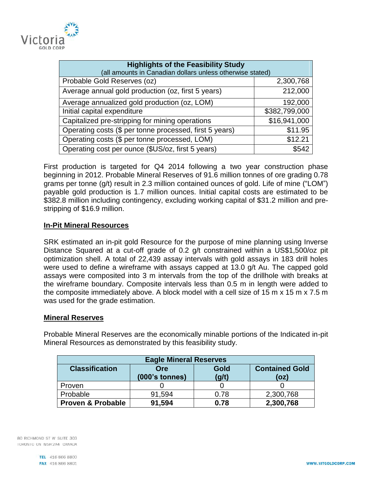

| <b>Highlights of the Feasibility Study</b><br>(all amounts in Canadian dollars unless otherwise stated) |               |
|---------------------------------------------------------------------------------------------------------|---------------|
| Probable Gold Reserves (oz)                                                                             | 2,300,768     |
| Average annual gold production (oz, first 5 years)                                                      | 212,000       |
| Average annualized gold production (oz, LOM)                                                            | 192,000       |
| Initial capital expenditure                                                                             | \$382,799,000 |
| Capitalized pre-stripping for mining operations                                                         | \$16,941,000  |
| Operating costs (\$ per tonne processed, first 5 years)                                                 | \$11.95       |
| Operating costs (\$ per tonne processed, LOM)                                                           | \$12.21       |
| Operating cost per ounce (\$US/oz, first 5 years)                                                       | \$542         |

First production is targeted for Q4 2014 following a two year construction phase beginning in 2012. Probable Mineral Reserves of 91.6 million tonnes of ore grading 0.78 grams per tonne (g/t) result in 2.3 million contained ounces of gold. Life of mine ("LOM") payable gold production is 1.7 million ounces. Initial capital costs are estimated to be \$382.8 million including contingency, excluding working capital of \$31.2 million and prestripping of \$16.9 million.

### **In-Pit Mineral Resources**

SRK estimated an in-pit gold Resource for the purpose of mine planning using Inverse Distance Squared at a cut-off grade of 0.2 g/t constrained within a US\$1,500/oz pit optimization shell. A total of 22,439 assay intervals with gold assays in 183 drill holes were used to define a wireframe with assays capped at 13.0 g/t Au. The capped gold assays were composited into 3 m intervals from the top of the drillhole with breaks at the wireframe boundary. Composite intervals less than 0.5 m in length were added to the composite immediately above. A block model with a cell size of 15 m x 15 m x 7.5 m was used for the grade estimation.

#### **Mineral Reserves**

Probable Mineral Reserves are the economically minable portions of the Indicated in-pit Mineral Resources as demonstrated by this feasibility study.

| <b>Eagle Mineral Reserves</b> |                  |       |                       |  |
|-------------------------------|------------------|-------|-----------------------|--|
| <b>Classification</b>         | Ore              | Gold  | <b>Contained Gold</b> |  |
|                               | $(000's$ tonnes) | (g/t) | (oz)                  |  |
| Proven                        |                  |       |                       |  |
| Probable                      | 91,594           | 0.78  | 2,300,768             |  |
| <b>Proven &amp; Probable</b>  | 91,594           | 0.78  | 2,300,768             |  |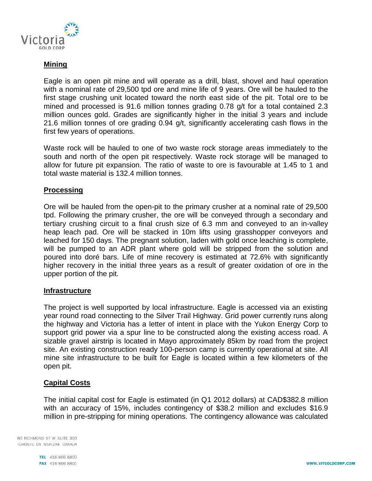

## **Mining**

Eagle is an open pit mine and will operate as a drill, blast, shovel and haul operation with a nominal rate of 29,500 tpd ore and mine life of 9 years. Ore will be hauled to the first stage crushing unit located toward the north east side of the pit. Total ore to be mined and processed is 91.6 million tonnes grading 0.78 g/t for a total contained 2.3 million ounces gold. Grades are significantly higher in the initial 3 years and include 21.6 million tonnes of ore grading 0.94 g/t, significantly accelerating cash flows in the first few years of operations.

Waste rock will be hauled to one of two waste rock storage areas immediately to the south and north of the open pit respectively. Waste rock storage will be managed to allow for future pit expansion. The ratio of waste to ore is favourable at 1.45 to 1 and total waste material is 132.4 million tonnes.

### **Processing**

Ore will be hauled from the open-pit to the primary crusher at a nominal rate of 29,500 tpd. Following the primary crusher, the ore will be conveyed through a secondary and tertiary crushing circuit to a final crush size of 6.3 mm and conveyed to an in-valley heap leach pad. Ore will be stacked in 10m lifts using grasshopper conveyors and leached for 150 days. The pregnant solution, laden with gold once leaching is complete, will be pumped to an ADR plant where gold will be stripped from the solution and poured into doré bars. Life of mine recovery is estimated at 72.6% with significantly higher recovery in the initial three years as a result of greater oxidation of ore in the upper portion of the pit.

#### **Infrastructure**

The project is well supported by local infrastructure. Eagle is accessed via an existing year round road connecting to the Silver Trail Highway. Grid power currently runs along the highway and Victoria has a letter of intent in place with the Yukon Energy Corp to support grid power via a spur line to be constructed along the existing access road. A sizable gravel airstrip is located in Mayo approximately 85km by road from the project site. An existing construction ready 100-person camp is currently operational at site. All mine site infrastructure to be built for Eagle is located within a few kilometers of the open pit.

#### **Capital Costs**

The initial capital cost for Eagle is estimated (in Q1 2012 dollars) at CAD\$382.8 million with an accuracy of 15%, includes contingency of \$38.2 million and excludes \$16.9 million in pre-stripping for mining operations. The contingency allowance was calculated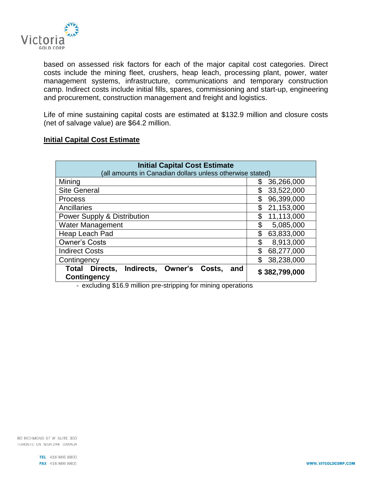

based on assessed risk factors for each of the major capital cost categories. Direct costs include the mining fleet, crushers, heap leach, processing plant, power, water management systems, infrastructure, communications and temporary construction camp. Indirect costs include initial fills, spares, commissioning and start-up, engineering and procurement, construction management and freight and logistics.

Life of mine sustaining capital costs are estimated at \$132.9 million and closure costs (net of salvage value) are \$64.2 million.

### **Initial Capital Cost Estimate**

| <b>Initial Capital Cost Estimate</b><br>(all amounts in Canadian dollars unless otherwise stated) |                  |  |  |
|---------------------------------------------------------------------------------------------------|------------------|--|--|
| Mining                                                                                            | 36,266,000       |  |  |
| <b>Site General</b>                                                                               | \$<br>33,522,000 |  |  |
| <b>Process</b>                                                                                    | 96,399,000<br>\$ |  |  |
| Ancillaries                                                                                       | \$<br>21,153,000 |  |  |
| <b>Power Supply &amp; Distribution</b>                                                            | 11,113,000<br>\$ |  |  |
| <b>Water Management</b>                                                                           | \$<br>5,085,000  |  |  |
| Heap Leach Pad                                                                                    | \$<br>63,833,000 |  |  |
| <b>Owner's Costs</b>                                                                              | \$<br>8,913,000  |  |  |
| <b>Indirect Costs</b>                                                                             | \$<br>68,277,000 |  |  |
| Contingency                                                                                       | \$<br>38,238,000 |  |  |
| Indirects, Owner's<br>Directs,<br>Total<br>Costs.<br>and<br>Contingency                           | \$382,799,000    |  |  |

- excluding \$16.9 million pre-stripping for mining operations

80 RICHMOND ST W SUITE 303 TORONTO ON M5H 2A4 CANADA

> TEL 416 866 8800 FAX 416 866 8801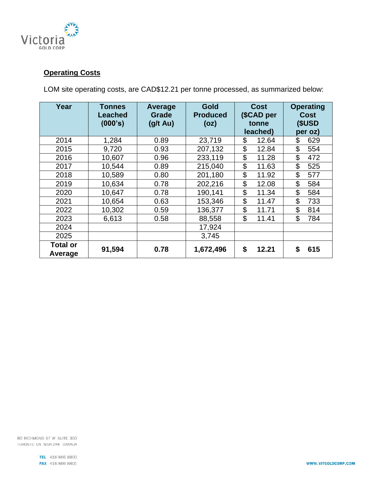

# **Operating Costs**

LOM site operating costs, are CAD\$12.21 per tonne processed, as summarized below:

| Year                       | Tonnes<br><b>Leached</b><br>(000's) | <b>Average</b><br>Grade<br>$(g/t \text{ Au})$ | <b>Gold</b><br><b>Produced</b><br>(oz) | <b>Cost</b><br>(\$CAD per<br>tonne | <b>Operating</b><br><b>Cost</b><br>(\$USD |
|----------------------------|-------------------------------------|-----------------------------------------------|----------------------------------------|------------------------------------|-------------------------------------------|
|                            |                                     |                                               |                                        | leached)                           | per oz)                                   |
| 2014                       | 1,284                               | 0.89                                          | 23,719                                 | \$<br>12.64                        | \$<br>629                                 |
| 2015                       | 9,720                               | 0.93                                          | 207,132                                | \$<br>12.84                        | \$<br>554                                 |
| 2016                       | 10,607                              | 0.96                                          | 233,119                                | \$<br>11.28                        | \$<br>472                                 |
| 2017                       | 10,544                              | 0.89                                          | 215,040                                | \$<br>11.63                        | $\mathfrak{L}$<br>525                     |
| 2018                       | 10,589                              | 0.80                                          | 201,180                                | \$<br>11.92                        | \$<br>577                                 |
| 2019                       | 10,634                              | 0.78                                          | 202,216                                | \$<br>12.08                        | \$<br>584                                 |
| 2020                       | 10,647                              | 0.78                                          | 190,141                                | \$<br>11.34                        | \$<br>584                                 |
| 2021                       | 10,654                              | 0.63                                          | 153,346                                | \$<br>11.47                        | \$<br>733                                 |
| 2022                       | 10,302                              | 0.59                                          | 136,377                                | \$<br>11.71                        | \$<br>814                                 |
| 2023                       | 6,613                               | 0.58                                          | 88,558                                 | \$<br>11.41                        | \$<br>784                                 |
| 2024                       |                                     |                                               | 17,924                                 |                                    |                                           |
| 2025                       |                                     |                                               | 3,745                                  |                                    |                                           |
| <b>Total or</b><br>Average | 91,594                              | 0.78                                          | 1,672,496                              | \$<br>12.21                        | \$<br>615                                 |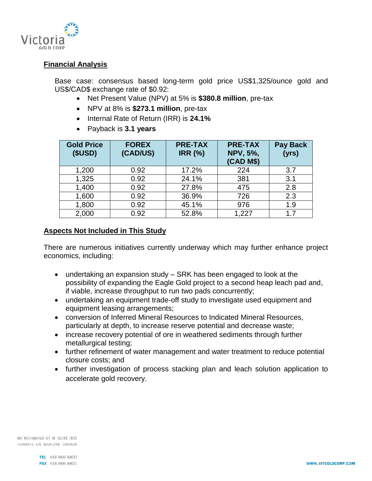

### **Financial Analysis**

Base case: consensus based long-term gold price US\$1,325/ounce gold and US\$/CAD\$ exchange rate of \$0.92:

- Net Present Value (NPV) at 5% is **\$380.8 million**, pre-tax
- NPV at 8% is **\$273.1 million**, pre-tax
- Internal Rate of Return (IRR) is **24.1%**
- Payback is **3.1 years**

| <b>Gold Price</b><br>(SUSD) | <b>FOREX</b><br>(CAD/US) | <b>PRE-TAX</b><br><b>IRR (%)</b> | <b>PRE-TAX</b><br><b>NPV, 5%,</b><br>(CAD M\$) | <b>Pay Back</b><br>(yrs) |
|-----------------------------|--------------------------|----------------------------------|------------------------------------------------|--------------------------|
| 1,200                       | 0.92                     | 17.2%                            | 224                                            | 3.7                      |
| 1,325                       | 0.92                     | 24.1%                            | 381                                            | 3.1                      |
| 1,400                       | 0.92                     | 27.8%                            | 475                                            | 2.8                      |
| 1,600                       | 0.92                     | 36.9%                            | 726                                            | 2.3                      |
| 1,800                       | 0.92                     | 45.1%                            | 976                                            | 1.9                      |
| 2,000                       | 0.92                     | 52.8%                            | 1,227                                          | 1.7                      |

### **Aspects Not Included in This Study**

There are numerous initiatives currently underway which may further enhance project economics, including:

- undertaking an expansion study SRK has been engaged to look at the possibility of expanding the Eagle Gold project to a second heap leach pad and, if viable, increase throughput to run two pads concurrently;
- undertaking an equipment trade-off study to investigate used equipment and equipment leasing arrangements;
- conversion of Inferred Mineral Resources to Indicated Mineral Resources, particularly at depth, to increase reserve potential and decrease waste;
- increase recovery potential of ore in weathered sediments through further metallurgical testing;
- further refinement of water management and water treatment to reduce potential closure costs; and
- further investigation of process stacking plan and leach solution application to accelerate gold recovery.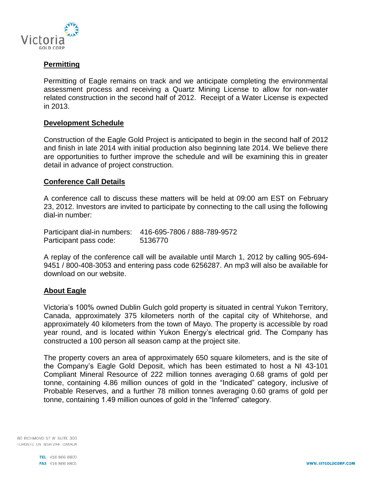

## **Permitting**

Permitting of Eagle remains on track and we anticipate completing the environmental assessment process and receiving a Quartz Mining License to allow for non-water related construction in the second half of 2012. Receipt of a Water License is expected in 2013.

#### **Development Schedule**

Construction of the Eagle Gold Project is anticipated to begin in the second half of 2012 and finish in late 2014 with initial production also beginning late 2014. We believe there are opportunities to further improve the schedule and will be examining this in greater detail in advance of project construction.

#### **Conference Call Details**

A conference call to discuss these matters will be held at 09:00 am EST on February 23, 2012. Investors are invited to participate by connecting to the call using the following dial-in number:

Participant dial-in numbers: 416-695-7806 / 888-789-9572 Participant pass code: 5136770

A replay of the conference call will be available until March 1, 2012 by calling 905-694- 9451 / 800-408-3053 and entering pass code 6256287. An mp3 will also be available for download on our website.

#### **About Eagle**

Victoria's 100% owned Dublin Gulch gold property is situated in central Yukon Territory, Canada, approximately 375 kilometers north of the capital city of Whitehorse, and approximately 40 kilometers from the town of Mayo. The property is accessible by road year round, and is located within Yukon Energy's electrical grid. The Company has constructed a 100 person all season camp at the project site.

The property covers an area of approximately 650 square kilometers, and is the site of the Company's Eagle Gold Deposit, which has been estimated to host a NI 43-101 Compliant Mineral Resource of 222 million tonnes averaging 0.68 grams of gold per tonne, containing 4.86 million ounces of gold in the "Indicated" category, inclusive of Probable Reserves, and a further 78 million tonnes averaging 0.60 grams of gold per tonne, containing 1.49 million ounces of gold in the "Inferred" category.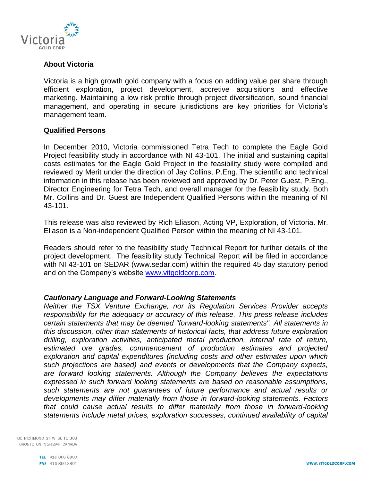

## **About Victoria**

Victoria is a high growth gold company with a focus on adding value per share through efficient exploration, project development, accretive acquisitions and effective marketing. Maintaining a low risk profile through project diversification, sound financial management, and operating in secure jurisdictions are key priorities for Victoria's management team.

#### **Qualified Persons**

In December 2010, Victoria commissioned Tetra Tech to complete the Eagle Gold Project feasibility study in accordance with NI 43-101. The initial and sustaining capital costs estimates for the Eagle Gold Project in the feasibility study were compiled and reviewed by Merit under the direction of Jay Collins, P.Eng. The scientific and technical information in this release has been reviewed and approved by Dr. Peter Guest, P.Eng., Director Engineering for Tetra Tech, and overall manager for the feasibility study. Both Mr. Collins and Dr. Guest are Independent Qualified Persons within the meaning of NI 43-101.

This release was also reviewed by Rich Eliason, Acting VP, Exploration, of Victoria. Mr. Eliason is a Non-independent Qualified Person within the meaning of NI 43-101.

Readers should refer to the feasibility study Technical Report for further details of the project development. The feasibility study Technical Report will be filed in accordance with NI 43-101 on SEDAR [\(www.sedar.com\)](http://www.sedar.com/) within the required 45 day statutory period and on the Company's website [www.vitgoldcorp.com.](http://www.vitgoldcorp.com/)

#### *Cautionary Language and Forward-Looking Statements*

*Neither the TSX Venture Exchange, nor its Regulation Services Provider accepts responsibility for the adequacy or accuracy of this release. This press release includes certain statements that may be deemed "forward-looking statements". All statements in this discussion, other than statements of historical facts, that address future exploration drilling, exploration activities, anticipated metal production, internal rate of return, estimated ore grades, commencement of production estimates and projected exploration and capital expenditures (including costs and other estimates upon which such projections are based) and events or developments that the Company expects, are forward looking statements. Although the Company believes the expectations expressed in such forward looking statements are based on reasonable assumptions, such statements are not guarantees of future performance and actual results or developments may differ materially from those in forward-looking statements. Factors that could cause actual results to differ materially from those in forward-looking statements include metal prices, exploration successes, continued availability of capital*